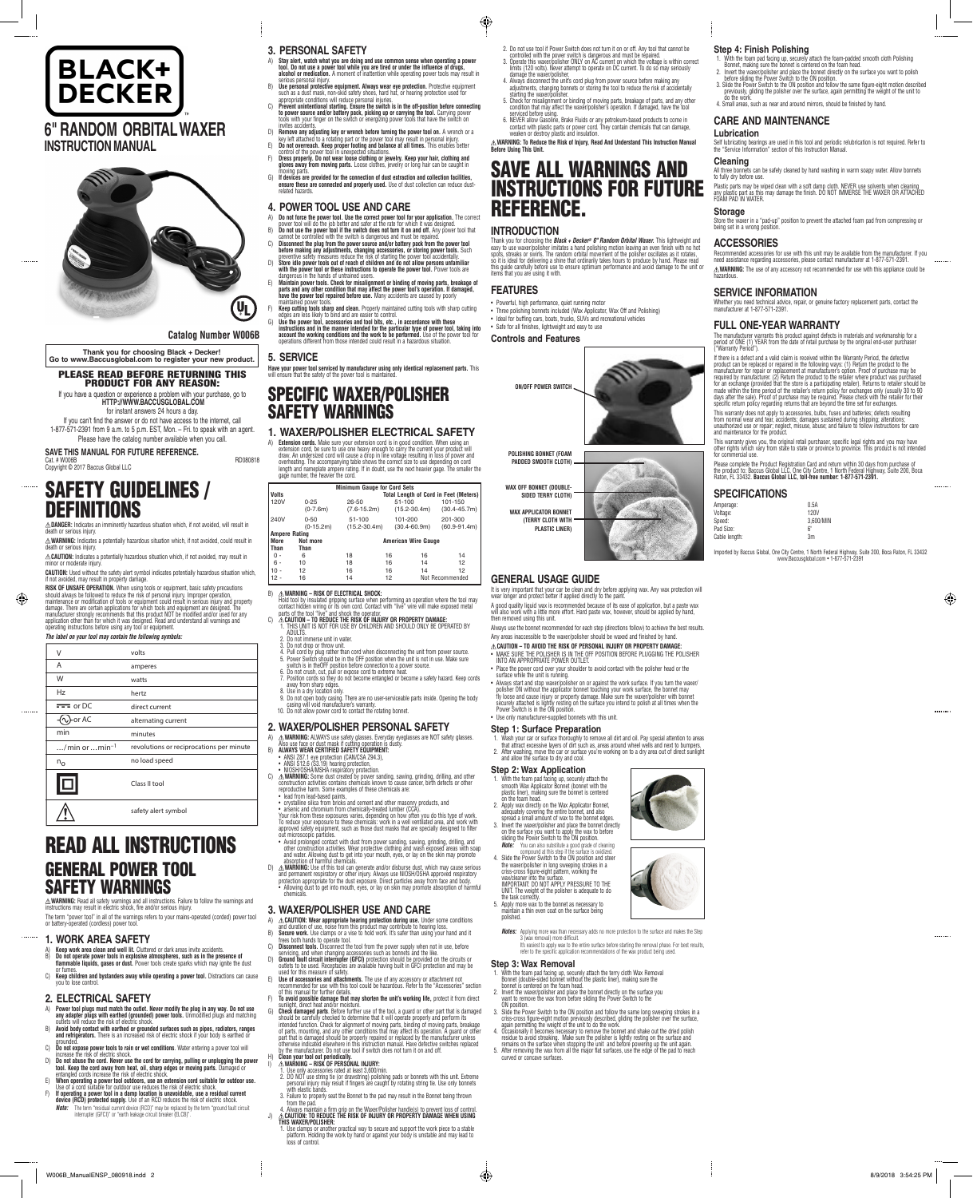



# **Catalog Number W006B**

Cat. # W006B RD080818 Copyright © 2017 Baccus Global LLC

⊕

**Thank you for choosing Black + Decker! Go to www.Baccusglobal.com to register your new product.**

PLEASE READ BEFORE RETURNING THIS PRODUCT FOR ANY REASON:

If you can't find the answer or do not have access to the internet, call 1-877-571-2391 from 9 a.m. to 5 p.m. EST, Mon. – Fri. to speak with an agent.

**DANGER:** Indicates an imminently hazardous situation which, if not avoided, will result in ath or serious injury.

**SAVE THIS MANUAL FOR FUTURE REFERENCE.** Please have the catalog number available when you call.

If you have a question or experience a problem with your purchase, go to **HTTP://WWW.BACCUSGLOBAL.COM** for instant answers 24 hours a day.

inor or moderate injury. **CAUTION:** Used without the safety alert symbol indicates potentially hazardous situation which,

if not avoided, may result in property damage. **RISK OF UNSAFE OPERATION.** When using tools or equipment, basic safety precautions<br>should always be followed to reduce the risk of personal injury. Improper operation,<br>maintenance or modification of tools or equipment cou

# SAFETY GUIDELINES / DEFINITIONS

damage. There are certain applications for which tools and equipment are designed. The<br>manufacturer strongly recommends that this product NOT be modified and/or used for any<br>application other than for which it was designed operating instructions before using any tool or equipment. *The label on your tool may contain the following symbols:*

**WARNING:** Indicates a potentially hazardous situation which, if not avoided, could result in death or serious injury. **CAUTION:** Indicates a potentially hazardous situation which, if not avoided, may result in

 $\triangle$ **WARNING:** Read all safety warnings and all instructions. Failure to follow the warnings and<br>instructions may result in electric shock, fire and/or serious injury. The term "power tool" in all of the warnings refers to your mains-operated (corded) power tool or battery-operated (cordless) power tool.

- 
- A) Keep work area clean and well lit. Cluttered or dark areas invite accidents.<br>B) Do not operate power tools in explosive atmospheres, such as in the presence of<br>Tlammable liquids, gases or dust. Power tools create sp
- 
- or fumes. C) **Keep children and bystanders away while operating a power tool.** Distractions can cause you to lose control.

volts  $\mathcal{U}$ A amperes W watts Hz hertz  $=$  or DC direct current -(V-or AC alternating current min minutes  $\ldots$ /min or  $\ldots$ min<sup>-1</sup> revolutions or reciprocations per minute no load speed no Ⅰ□ Class II tool  $\bigwedge$ safety alert symbol

- **3. PERSONAL SAFETY**
- A) **Stay alert, watch what you are doing and use common sense when operating a power tool. Do not use a power tool while you are tired or under the influence of drugs,**
- 
- alcohol or medication. A moment of inattention while operating power tools may result in<br>By the personal prighty.<br>B) Use personal protective equipment. Always wear eye protection. Protective equipment<br>such as a dust mask,
- D) **Remove any adjusting key or wrench before turning the power tool on.** A wrench or a key left attached to a rotating part or the power tool may result in personal injury.<br>E) Do not overreach. Keep proper footing and balance at all times. This enables better<br>control of the power tool in unexpected situation
- F) **Dress properly. Do not wear loose clothing or jewelry. Keep your hair, clothing and gloves away from moving parts.** Loose clothes, jewelry or long hair can be caught in
- moving parts.<br>**G) If devices are provided for the connection of dust extraction and collection facilities,<br><b>ensure these are connected and properly used.** Use of dust collection can reduce dust-<br>related hazards.

# READ ALL INSTRUCTIONS GENERAL POWER TOOL SAFETY WARNINGS

# **1. WORK AREA SAFETY**

# **2. ELECTRICAL SAFETY**

- A) Power tool plugs must match the outlet. Never modify the plug in any way. Do not use<br>any adapter plugs with earthed (grounded) power tools. Unmodified plugs and matching<br>outlets will reduce the risk of electric shock.
- B) **Avoid body contact with earthed or grounded surfaces such as pipes, radiators, ranges and refrigerators.** There is an increased risk of electric shock if your body is earthed or
- grounded. C) **Do not expose power tools to rain or wet conditions**. Water entering a power tool will
- increase the risk of electric shock. D) **Do not abuse the cord. Never use the cord for carrying, pulling or unplugging the power tool. Keep the cord away from heat, oil, sharp edges or moving parts.** Damaged or<br>entangled cords increase the risk of electric shock.
- E) When operating a power tool outdoors, use an extension cord suitable for outdoor use.<br>E) When operating a power tool outdoors, use an extension cord suitable for outdoor use. able for outdoor use reduces the risk of electric shock.
- F) If **operating a power tool in a damp location is unavoidable, use a residual current<br>device (RCD) protected supply. Use of an RCD reduces the risk of electric shock.<br>***Note:* **The term "residual current device (RCD)" may**
- 
- 
- 
- Trees both hands to operate tool.<br> **C)** Disconnect tools. Disconnect the tool from the power supply when not in use, before<br>
servicing, and when changing accessories such as bonnets and the like.<br> **D) Ground fault circui**
- recommended for use with this tool could be hazardous. Refer to the "Accessories" section
- of this manual for further details.<br>To avoid possible damage that may shorten the unit's working life, protect it from direct
- For To avoid possible damage that may shorten the unit's working life, protect it from direct<br>G) Check damaged parts. Before further use of the tool, a guard or other part that is damaged<br>should be carefully checked to de

A) **Extension cords.** Make sure your extension cord is in good condition. When using an extension cord, be sure to use one heavy enough to carry the current your product will<br>draw. An undersized cord will cause a drop in line voltage resulting in loss of power and<br>overheating. The accompanying table shows the

- 
- 
- 
- 
- A)  $\triangle$  WARNING: ALWAYS use safety glasses. Everyday eyeglasses are NOT safety glasses.<br>
Also use face or dust mask if cutting operation is dusty.<br>
B) ALWAYS WEAR CERTIFIED SAFETY EQUIPMENT:<br>
 ANSI 287.1 eye protection (C construction activities contains chemicals known to cause cancer, birth defects or other
- reproductive harm. Some examples of these chemicals are:
- 
- lead from lead-based paints,<br>• crystalline slica from bricks and cement and other masonry products, and<br>• arsenic and chromium from chemically-treated lumber (CCA).<br>Your risk from these exposures varies, depending on how
	- Avoid prolonged contact with dust from power sanding, sawing, grinding, drilling, and<br>other construction activities. Wear protective clothing and wash exposed areas with soap<br>and water. Allowing dust to get into your mou absorption of harmful chemicals.
- D) **WARNING:** Use of this tool can generate and/or disburse dust, which may cause serious and permanent respiratory or other injury. Always use NIOSH/OSHA approved respiratory protection appropriate for the dust exposure. Direct particles away from face and body. • Allowing dust to get into mouth, eyes, or lay on skin may promote absorption of harmful chemicals.

# **4. POWER TOOL USE AND CARE**

- A) **Do not force the power tool. Use the correct power tool for your application.** The correct
- 
- By power tool will do the job better and safer at the rate for which it was designed.<br>B) Do not use the power tool if the switch ideas not turn it on and off. Any power tool that<br>cannot be controlled with the switch is dan
- **with the power tool or these instructions to operate the power tool.** Power tools are dangerous in the hands of untrained users.
- E) **Maintain power tools. Check for misalignment or binding of moving parts, breakage of parts and any other condition that may affect the power tool's operation. If damaged, have the power tool repaired before use.** Many accidents are caused by poorly
- maintained power tools.<br>Fy **Keep cutting tools with sharp cutting degree and starp and clean**. Properly maintained cutting tools with sharp cutting edges are less likely to bind and are easier to control.<br>G) Use the power
- operations different from those intended could result in a hazardous situation.

# **5. SERVICE**

**Have your power tool serviced by manufacturer using only identical replacement parts.** This<br>will ensure that the safety of the power tool is maintained.

# SPECIFIC WAXER/POLISHER SAFETY WARNINGS

### **1. WAXER/POLISHER ELECTRICAL SAFETY**

A good quality liquid wax is recommended because of its ease of application, but a paste wax will also work with a little more effort. Hard paste wax, however, should be applied by hand, wed using this unit.

|                      |                         | <b>Minimum Gauge for Cord Sets</b>           |                            |                  |                             |  |  |  |
|----------------------|-------------------------|----------------------------------------------|----------------------------|------------------|-----------------------------|--|--|--|
| <b>Volts</b>         |                         | <b>Total Length of Cord in Feet (Meters)</b> |                            |                  |                             |  |  |  |
| 120V                 | $0 - 25$<br>$(0-7.6m)$  | $26 - 50$<br>$(7.6 - 15.2m)$                 | 51-100<br>$(15.2 - 30.4m)$ |                  | 101-150<br>$(30.4 - 45.7m)$ |  |  |  |
| 240V                 | $0 - 50$<br>$(0-15.2m)$ | 51-100<br>$(15.2 - 30.4m)$                   | 101-200                    | $(30.4 - 60.9m)$ | 201-300<br>$(60.9 - 91.4m)$ |  |  |  |
| <b>Ampere Rating</b> |                         |                                              |                            |                  |                             |  |  |  |
| <b>More</b>          | Not more                | <b>American Wire Gauge</b>                   |                            |                  |                             |  |  |  |
| Than                 | Than                    |                                              |                            |                  |                             |  |  |  |
| 0 -                  | 6                       | 18                                           | 16                         | 16               | 14                          |  |  |  |
| $6 -$                | 10                      | 18                                           | 16                         | 14               | 12                          |  |  |  |
| 10                   | 12                      | 16                                           | 16                         | 14               | 12                          |  |  |  |
|                      |                         |                                              |                            | $\cdots$         |                             |  |  |  |

16 14 12 Not Recommended

- **CAUTION TO AVOID THE RISK OF PERSONAL INJURY OR PROPERTY DAMAGE:**
- MAKE SURE THE POLISHER IS IN THE OFF POSITION BEFORE PLUGGING THE POLISHER INTO AN APPROPRIATE POWER OUTLET. • Place the power cord over your shoulder to avoid contact with the polisher head or the surface while the unit is running.
- Always start and stop waxer/polisher on or against the work surface. If you turn the waxer/ polisher ON without the applicator bonnet touching your work surface, the bonnet may<br>fly loose and cause injury or property damage. Make sure the waxer/polisher with bonnet<br>securely attached is lightly resting on the surfa
- 

1. Wash your car or surface thoroughly to remove all dirt and oil. Pay special attention to areas<br>that attract excessive layers of dirt such as, areas around wheel wells and next to bumpers.<br>2. After washing, move the ca and allow the surface to dry and cool.

- B) **WARNING RISK OF ELECTRICAL SHOCK:**
- Hold tool by insulated gripping surface when performing an operation where the tool may<br>contact hidden wiring or its own cord. Contact with "live" wire will make exposed metal<br>cats of the tool "live" and shock the operator
- 2. Do not immerse unit in water.
- Do not drop or throw unit. 4. Pull cord by plug rather than cord when disconnecting the unit from power source.
- 5. Power Switch should be in the OFF position when the unit is not in use. Make sure<br>switch is in theOFF position before connection to a power source.<br>6. Do not crush, cut, pull or expose cord to extreme heat.<br>7. Position
- 
- away from sharp edges. 8. Use in a dry location only.
- 9. Do not open body casing. There are no user-serviceable parts inside. Opening the body casing will void manufacturer's warranty. 10. Do not allow power cord to contact the rotating bonnet.

3 (wax removal) more difficult. It's easiest to apply wax to the entire surface before starting the removal phase. For best results, efer to the specific application recommendations of the wax product being used.

# **2. WAXER/POLISHER PERSONAL SAFETY**

- 1. With the foam pad facing up, securely attach the foam-padded smooth cloth Polishing<br>2. Invert the waxer/polisher and place the bonnet directly on the surface you want to polish<br>2. Invert the waxer/polisher and place the
- 
- previously, gliding the polisher over the surface, again permitting the weight of the unit to do the work. 4. Small areas, such as near and around mirrors, should be finished by hand.

being set in a wrong position. **ACCESSORIES**

# **3. WAXER/POLISHER USE AND CARE**

A) **CAUTION: Wear appropriate hearing protection during use.** Under some conditions and duration of use, noise from this product may contribute to hearing loss. B) **Secure work.** Use clamps or a vise to hold work. It's safer than using your hand and it

- 
- 
- 1. Use only accessories rated at least 3,600/min. 2. DO NOT use string tie (or drawstring) polishing pads or bonnets with this unit. Extreme personal injury may result if fingers are caught by rotating string tie. Use only bonnets with elastic bands.
- 3. Failure to properly seat the Bonnet to the pad may result in the Bonnet being thrown<br>from the pad.
- from the pad. 4. Always maintain a firm grip on the Waxer/Polisher handle(s) to prevent loss of control. J) **CAUTION: TO REDUCE THE RISK OF INJURY OR PROPERTY DAMAGE WHEN USING**
- 
- **THIS WAXER/POLISHER:** 1. Use clamps or another practical way to secure and support the work piece to a stable platform. Holding the work by hand or against your body is unstable and may lead to loss of control.

- 2. Do not use tool if Power Switch does not turn it on or off. Any tool that cannot be controlled with the power switch is dangerous and must be repaired.<br>3. Operate this waxer/polisher ONLY on AC current on which the voltage is within correct<br>limits (120 volts). Never attempt to operate on DC current. To do
- damage the waxer/polisher. 4. Always disconnect the unit's cord plug from power source before making any adjustments, changing bonnets or storing the tool to reduce the risk of accidentally<br>starting the waxer/polisher.<br>5. Check for misalignment or binding of moving parts, breakage of parts, and any other
- condition that may affect the waxer/polisher's operation. If damaged, have the tool
- serviced before using. 6. NEVER allow Gasoline, Brake Fluids or any petroleum-based products to come in contact with plastic parts or power cord. They contain chemicals that can damage, weaken or destroy plastic and insulation.

 $\triangle$ WARNING: To Reduce the Risk of Injury, Read And Understand This Instruction Manual<br>Before Using This Unit.

# SAVE ALL WARNINGS AND INSTRUCTIONS FOR FUTURE REFERENCE.

# **INTRODUCTION**

Thank you for choosing the *Black + Decker® 6" Random Orbital Waxer.* This lightweight and easy to use waxer/polisher imitates a hand polishing motion leaving an even finish with no hot<br>spots, streaks or swirls. The random orbital movement of the polisher oscillates as it rotates,<br>so it is ideal for delivering a this guide carefully before use to ensure optimum performance and avoid damage to the unit or items that you are using it with.

# **FEATURES**

 $\bigoplus$ 

- Powerful, high performance, quiet running motor
- Three polishing bonnets included (Wax Applicator, Wax Off and Polishing)
- Ideal for buffing cars, boats, trucks, SUVs and recreational vehicles • Safe for all finishes, lightweight and easy to use

# **Controls and Features**



# **GENERAL USAGE GUIDE**

It is very important that your car be clean and dry before applying wax. Any wax protection will wear longer and protect better if applied directly to the paint.

Always use the bonnet recommended for each step (directions follow) to achieve the best results. Any areas inaccessible to the waxer/polisher should be waxed and finished by hand.

• Use only manufacturer-supplied bonnets with this unit.

# **Step 1: Surface Preparation**

# **Step 2: Wax Application**

- 1. With the foam pad facing up, securely attach the smooth Wax Applicator Bonnet (bonnet with the plastic liner), making sure the bonnet is centered<br>on the foam head.
- on the foam head.<br>
2. Apply wax directly on the Wax Applicator Bonnet,<br>
adequately covering the entire bonnet. and also<br>
spread a small amount of wax to the bonnet edges.<br>
3. Invert the waxer/polisher and place the bonnet
- *Note:* You can also substitute a good grade of cleaning

compound at this step if the surface is oxidized. 4. Slide the Power Switch to the ON position and steer the waxer/polisher in long sweeping strokes in a criss-cross figure-eight pattern, working the wax/cleaner into the surface. IMPORTANT: DO NOT APPLY PRESSURE TO THE UNIT. The weight of the polisher is adequate to do the task correctly. 5. Apply more wax to the bonnet as necessary to

maintain a thin even coat on the surface being polished.

**Notes:** Applying more wax than necessary adds no more protection to the surface and makes the Step

# **Step 3: Wax Removal**

- 1. With the foam pad facing up, securely attach the terry cloth Wax Removal Bonnet (double-sided bonnet without the plastic liner), making sure the
- bonnet is centered on the foam head. 2. Invert the waxer/polisher and place the bonnet directly on the surface you want to remove the wax from before sliding the Power Switch to the

- 
- ON position.<br>
Sidio the Power Switch to the ON position and follow the same long sweeping strokes in a<br>
criss-cross figure-eight motion previously described, gliding the polisher over the surface,<br>
again permitting the wei

### **Step 4: Finish Polishing**

# **CARE AND MAINTENANCE**

# **Lubrication** Self lubricating bearings are used in this tool and periodic relubrication is not required. Refer to the "Service Information" section of this Instruction Manual.

**Cleaning**

All three bonnets can be safely cleaned by hand washing in warm soapy water. Allow bonnets

Plastic parts may be wiped clean with a soft damp cloth. NEVER use solvents when cleaning<br>any plastic part as this may damage the finish. DO NOT IMMERSE THE WAXER OR ATTACHED<br>FOAM PAD IN WATER.

Store the waxer in a "pad-up" position to prevent the attached foam pad from compressing or

to fully dry before use.

**Storage**

Recommended accessories for use with this unit may be available from the manufacturer. If you need assistance regarding accessories, please contact manufacturer at 1-877-571-2391. **WARNING:** The use of any accessory not recommended for use with this appliance could be

hazardous.

**SERVICE INFORMATION**

Whether you need technical advice, repair, or genuine factory replacement parts, contact the manufacturer at 1-877-571-2391.

**FULL ONE-YEAR WARRANTY**

The manufacturer warrants this product against defects in materials and workmanship for a period of ONE (1) YEAR from the date of retail purchase by the original end-user purchaser ("Warranty Period").

If there is a defect and a valid claim is received within the Warranty Period, the defective<br>product can be replaced or repaired in the following ways: (1) Return the product to the<br>manufacturer for repair or replacement a

This warranty does not apply to accessories, bulbs, fuses and batteries; defects resulting from normal wear and tear, accidents; damages sustained during shipping; alterations;<br>unauthorized use or repair; neglect, misuse, abuse; and failure to follow instructions for care<br>and maintenance for the product. This warranty gives you, the original retail purchaser, specific legal rights and you may have other rights which vary from state to state or province to province. This product is not intended

Please complete the Product Registration Card and return within 30 days from purchase of<br>the product to: Baccus Global LLC, One City Centre, 1 North Federal Highway, Suite 200, Boca<br>Raton, FL 33432. **Baccus Global LLC, tol** 

for commercial use.

Voltage:

Cable length

**SPECIFICATIONS**

Amperage: 0.5A<br>Voltage: 120V

Speed: 3,600/MIN Pad Size: 6"<br>Cable length: 6" 3m

Imported by Baccus Global, One City Centre, 1 North Federal Highway, Suite 200, Boca Raton, FL 33432 www.Baccusglobal.com • 1-877-571-2391

⊕